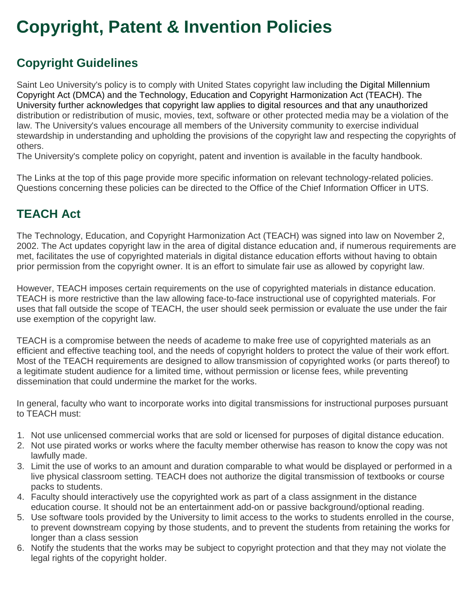## **Copyright, Patent & Invention Policies**

## **Copyright Guidelines**

Saint Leo University's policy is to comply with United States copyright law including the Digital Millennium Copyright Act (DMCA) and the Technology, Education and Copyright Harmonization Act (TEACH). The University further acknowledges that copyright law applies to digital resources and that any unauthorized distribution or redistribution of music, movies, text, software or other protected media may be a violation of the law. The University's values encourage all members of the University community to exercise individual stewardship in understanding and upholding the provisions of the copyright law and respecting the copyrights of others.

The University's complete policy on copyright, patent and invention is available in the faculty handbook.

The Links at the top of this page provide more specific information on relevant technology-related policies. Questions concerning these policies can be directed to the Office of the Chief Information Officer in UTS.

## **TEACH Act**

The Technology, Education, and Copyright Harmonization Act (TEACH) was signed into law on November 2, 2002. The Act updates copyright law in the area of digital distance education and, if numerous requirements are met, facilitates the use of copyrighted materials in digital distance education efforts without having to obtain prior permission from the copyright owner. It is an effort to simulate fair use as allowed by copyright law.

However, TEACH imposes certain requirements on the use of copyrighted materials in distance education. TEACH is more restrictive than the law allowing face-to-face instructional use of copyrighted materials. For uses that fall outside the scope of TEACH, the user should seek permission or evaluate the use under the fair use exemption of the copyright law.

TEACH is a compromise between the needs of academe to make free use of copyrighted materials as an efficient and effective teaching tool, and the needs of copyright holders to protect the value of their work effort. Most of the TEACH requirements are designed to allow transmission of copyrighted works (or parts thereof) to a legitimate student audience for a limited time, without permission or license fees, while preventing dissemination that could undermine the market for the works.

In general, faculty who want to incorporate works into digital transmissions for instructional purposes pursuant to TEACH must:

- 1. Not use unlicensed commercial works that are sold or licensed for purposes of digital distance education.
- 2. Not use pirated works or works where the faculty member otherwise has reason to know the copy was not lawfully made.
- 3. Limit the use of works to an amount and duration comparable to what would be displayed or performed in a live physical classroom setting. TEACH does not authorize the digital transmission of textbooks or course packs to students.
- 4. Faculty should interactively use the copyrighted work as part of a class assignment in the distance education course. It should not be an entertainment add-on or passive background/optional reading.
- 5. Use software tools provided by the University to limit access to the works to students enrolled in the course, to prevent downstream copying by those students, and to prevent the students from retaining the works for longer than a class session
- 6. Notify the students that the works may be subject to copyright protection and that they may not violate the legal rights of the copyright holder.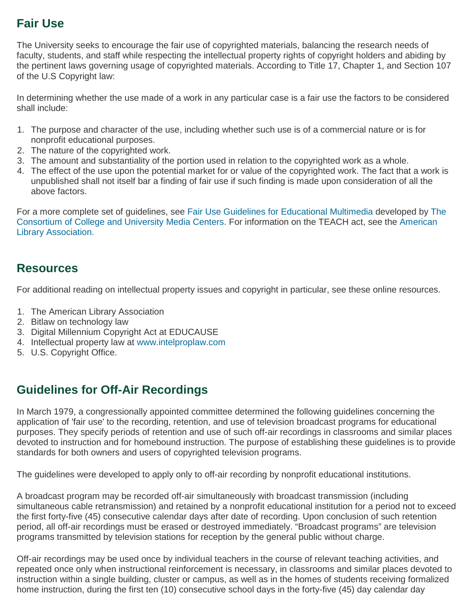### **Fair Use**

The University seeks to encourage the fair use of copyrighted materials, balancing the research needs of faculty, students, and staff while respecting the intellectual property rights of copyright holders and abiding by the pertinent laws governing usage of copyrighted materials. According to Title 17, Chapter 1, and Section 107 of the U.S Copyright law:

In determining whether the use made of a work in any particular case is a fair use the factors to be considered shall include:

- 1. The purpose and character of the use, including whether such use is of a commercial nature or is for nonprofit educational purposes.
- 2. The nature of the copyrighted work.
- 3. The amount and substantiality of the portion used in relation to the copyrighted work as a whole.
- 4. The effect of the use upon the potential market for or value of the copyrighted work. The fact that a work is unpublished shall not itself bar a finding of fair use if such finding is made upon consideration of all the above factors.

For a more complete set of guidelines, see Fair Use Guidelines for [Educational](http://www.ccumc.org/copyright-matters) Multimedia developed by [The](http://www.ccumc.org/) [Consortium](http://www.ccumc.org/) of College and University Media Center[s.](http://www.ccumc.org/) For information on the TEACH act, see the [American](http://www.ala.org/Template.cfm?Section=Distance_Education_and_the_TEACH_Act&Template=/ContentManagement/ContentDisplay.cfm&ContentID=25939#newc) Library [Association.](http://www.ala.org/Template.cfm?Section=Distance_Education_and_the_TEACH_Act&Template=/ContentManagement/ContentDisplay.cfm&ContentID=25939#newc)

#### **Resources**

For additional reading on intellectual property issues and copyright in particular, see these online resources.

- 1. The American Library Association
- 2. Bitlaw on technology law
- 3. Digital Millennium Copyright Act at EDUCAUSE
- 4. Intellectual property law at [www.intelproplaw.com](http://www.intelproplaw.com/)
- 5. U.S. Copyright Office.

#### **Guidelines for Off-Air Recordings**

In March 1979, a congressionally appointed committee determined the following guidelines concerning the application of 'fair use' to the recording, retention, and use of television broadcast programs for educational purposes. They specify periods of retention and use of such off-air recordings in classrooms and similar places devoted to instruction and for homebound instruction. The purpose of establishing these guidelines is to provide standards for both owners and users of copyrighted television programs.

The guidelines were developed to apply only to off-air recording by nonprofit educational institutions.

A broadcast program may be recorded off-air simultaneously with broadcast transmission (including simultaneous cable retransmission) and retained by a nonprofit educational institution for a period not to exceed the first forty-five (45) consecutive calendar days after date of recording. Upon conclusion of such retention period, all off-air recordings must be erased or destroyed immediately. "Broadcast programs" are television programs transmitted by television stations for reception by the general public without charge.

Off-air recordings may be used once by individual teachers in the course of relevant teaching activities, and repeated once only when instructional reinforcement is necessary, in classrooms and similar places devoted to instruction within a single building, cluster or campus, as well as in the homes of students receiving formalized home instruction, during the first ten (10) consecutive school days in the forty-five (45) day calendar day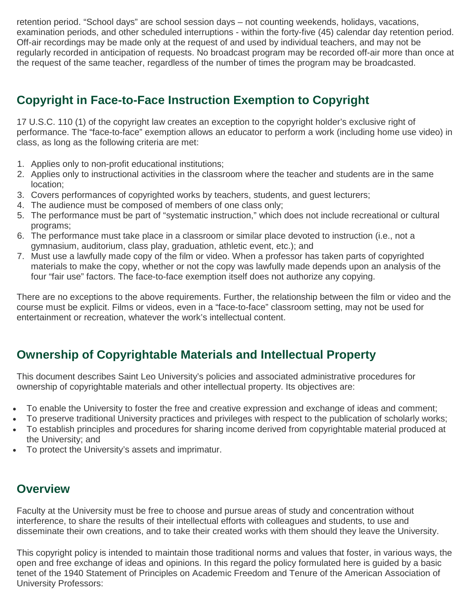retention period. "School days" are school session days – not counting weekends, holidays, vacations, examination periods, and other scheduled interruptions - within the forty-five (45) calendar day retention period. Off-air recordings may be made only at the request of and used by individual teachers, and may not be regularly recorded in anticipation of requests. No broadcast program may be recorded off-air more than once at the request of the same teacher, regardless of the number of times the program may be broadcasted.

## **Copyright in Face-to-Face Instruction Exemption to Copyright**

17 U.S.C. 110 (1) of the copyright law creates an exception to the copyright holder's exclusive right of performance. The "face-to-face" exemption allows an educator to perform a work (including home use video) in class, as long as the following criteria are met:

- 1. Applies only to non-profit educational institutions;
- 2. Applies only to instructional activities in the classroom where the teacher and students are in the same location;
- 3. Covers performances of copyrighted works by teachers, students, and guest lecturers;
- 4. The audience must be composed of members of one class only;
- 5. The performance must be part of "systematic instruction," which does not include recreational or cultural programs;
- 6. The performance must take place in a classroom or similar place devoted to instruction (i.e., not a gymnasium, auditorium, class play, graduation, athletic event, etc.); and
- 7. Must use a lawfully made copy of the film or video. When a professor has taken parts of copyrighted materials to make the copy, whether or not the copy was lawfully made depends upon an analysis of the four "fair use" factors. The face-to-face exemption itself does not authorize any copying.

There are no exceptions to the above requirements. Further, the relationship between the film or video and the course must be explicit. Films or videos, even in a "face-to-face" classroom setting, may not be used for entertainment or recreation, whatever the work's intellectual content.

## **Ownership of Copyrightable Materials and Intellectual Property**

This document describes Saint Leo University's policies and associated administrative procedures for ownership of copyrightable materials and other intellectual property. Its objectives are:

- To enable the University to foster the free and creative expression and exchange of ideas and comment;
- To preserve traditional University practices and privileges with respect to the publication of scholarly works;
- To establish principles and procedures for sharing income derived from copyrightable material produced at the University; and
- To protect the University's assets and imprimatur.

#### **Overview**

Faculty at the University must be free to choose and pursue areas of study and concentration without interference, to share the results of their intellectual efforts with colleagues and students, to use and disseminate their own creations, and to take their created works with them should they leave the University.

This copyright policy is intended to maintain those traditional norms and values that foster, in various ways, the open and free exchange of ideas and opinions. In this regard the policy formulated here is guided by a basic tenet of the 1940 Statement of Principles on Academic Freedom and Tenure of the American Association of University Professors: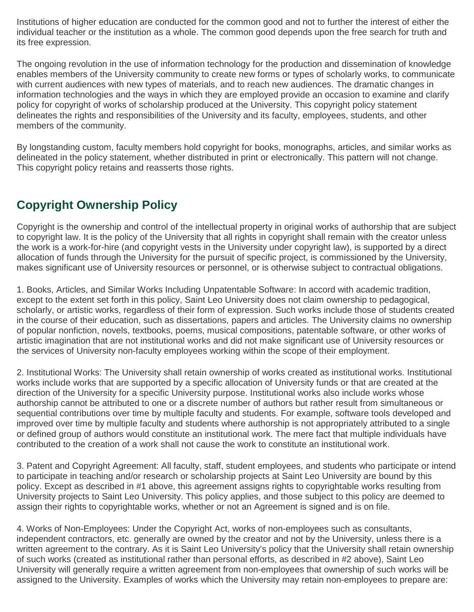Institutions of higher education are conducted for the common good and not to further the interest of either the individual teacher or the institution as a whole. The common good depends upon the free search for truth and its free expression.

The ongoing revolution in the use of information technology for the production and dissemination of knowledge enables members of the University community to create new forms or types of scholarly works, to communicate with current audiences with new types of materials, and to reach new audiences. The dramatic changes in information technologies and the ways in which they are employed provide an occasion to examine and clarify policy for copyright of works of scholarship produced at the University. This copyright policy statement delineates the rights and responsibilities of the University and its faculty, employees, students, and other members of the community.

By longstanding custom, faculty members hold copyright for books, monographs, articles, and similar works as delineated in the policy statement, whether distributed in print or electronically. This pattern will not change. This copyright policy retains and reasserts those rights.

## **Copyright Ownership Policy**

Copyright is the ownership and control of the intellectual property in original works of authorship that are subject to copyright law. It is the policy of the University that all rights in copyright shall remain with the creator unless the work is a work-for-hire (and copyright vests in the University under copyright law), is supported by a direct allocation of funds through the University for the pursuit of specific project, is commissioned by the University, makes significant use of University resources or personnel, or is otherwise subject to contractual obligations.

1. Books, Articles, and Similar Works Including Unpatentable Software: In accord with academic tradition, except to the extent set forth in this policy, Saint Leo University does not claim ownership to pedagogical, scholarly, or artistic works, regardless of their form of expression. Such works include those of students created in the course of their education, such as dissertations, papers and articles. The University claims no ownership of popular nonfiction, novels, textbooks, poems, musical compositions, patentable software, or other works of artistic imagination that are not institutional works and did not make significant use of University resources or the services of University non-faculty employees working within the scope of their employment.

2. Institutional Works: The University shall retain ownership of works created as institutional works. Institutional works include works that are supported by a specific allocation of University funds or that are created at the direction of the University for a specific University purpose. Institutional works also include works whose authorship cannot be attributed to one or a discrete number of authors but rather result from simultaneous or sequential contributions over time by multiple faculty and students. For example, software tools developed and improved over time by multiple faculty and students where authorship is not appropriately attributed to a single or defined group of authors would constitute an institutional work. The mere fact that multiple individuals have contributed to the creation of a work shall not cause the work to constitute an institutional work.

3. Patent and Copyright Agreement: All faculty, staff, student employees, and students who participate or intend to participate in teaching and/or research or scholarship projects at Saint Leo University are bound by this policy. Except as described in #1 above, this agreement assigns rights to copyrightable works resulting from University projects to Saint Leo University. This policy applies, and those subject to this policy are deemed to assign their rights to copyrightable works, whether or not an Agreement is signed and is on file.

4. Works of Non-Employees: Under the Copyright Act, works of non-employees such as consultants, independent contractors, etc. generally are owned by the creator and not by the University, unless there is a written agreement to the contrary. As it is Saint Leo University's policy that the University shall retain ownership of such works (created as institutional rather than personal efforts, as described in #2 above), Saint Leo University will generally require a written agreement from non-employees that ownership of such works will be assigned to the University. Examples of works which the University may retain non-employees to prepare are: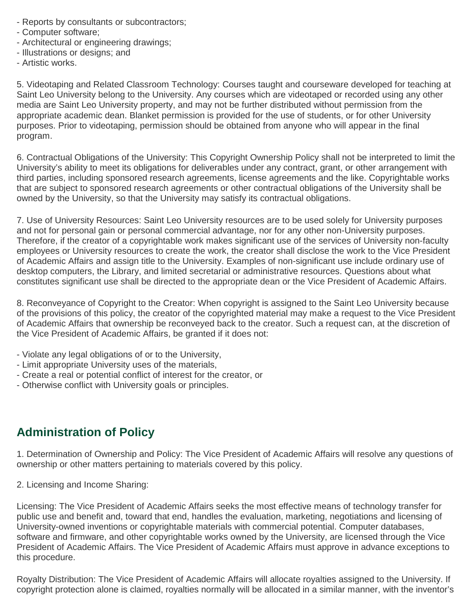- Reports by consultants or subcontractors;
- Computer software;
- Architectural or engineering drawings;
- Illustrations or designs; and
- Artistic works.

5. Videotaping and Related Classroom Technology: Courses taught and courseware developed for teaching at Saint Leo University belong to the University. Any courses which are videotaped or recorded using any other media are Saint Leo University property, and may not be further distributed without permission from the appropriate academic dean. Blanket permission is provided for the use of students, or for other University purposes. Prior to videotaping, permission should be obtained from anyone who will appear in the final program.

6. Contractual Obligations of the University: This Copyright Ownership Policy shall not be interpreted to limit the University's ability to meet its obligations for deliverables under any contract, grant, or other arrangement with third parties, including sponsored research agreements, license agreements and the like. Copyrightable works that are subject to sponsored research agreements or other contractual obligations of the University shall be owned by the University, so that the University may satisfy its contractual obligations.

7. Use of University Resources: Saint Leo University resources are to be used solely for University purposes and not for personal gain or personal commercial advantage, nor for any other non-University purposes. Therefore, if the creator of a copyrightable work makes significant use of the services of University non-faculty employees or University resources to create the work, the creator shall disclose the work to the Vice President of Academic Affairs and assign title to the University. Examples of non-significant use include ordinary use of desktop computers, the Library, and limited secretarial or administrative resources. Questions about what constitutes significant use shall be directed to the appropriate dean or the Vice President of Academic Affairs.

8. Reconveyance of Copyright to the Creator: When copyright is assigned to the Saint Leo University because of the provisions of this policy, the creator of the copyrighted material may make a request to the Vice President of Academic Affairs that ownership be reconveyed back to the creator. Such a request can, at the discretion of the Vice President of Academic Affairs, be granted if it does not:

- Violate any legal obligations of or to the University,
- Limit appropriate University uses of the materials,
- Create a real or potential conflict of interest for the creator, or
- Otherwise conflict with University goals or principles.

#### **Administration of Policy**

1. Determination of Ownership and Policy: The Vice President of Academic Affairs will resolve any questions of ownership or other matters pertaining to materials covered by this policy.

2. Licensing and Income Sharing:

Licensing: The Vice President of Academic Affairs seeks the most effective means of technology transfer for public use and benefit and, toward that end, handles the evaluation, marketing, negotiations and licensing of University-owned inventions or copyrightable materials with commercial potential. Computer databases, software and firmware, and other copyrightable works owned by the University, are licensed through the Vice President of Academic Affairs. The Vice President of Academic Affairs must approve in advance exceptions to this procedure.

Royalty Distribution: The Vice President of Academic Affairs will allocate royalties assigned to the University. If copyright protection alone is claimed, royalties normally will be allocated in a similar manner, with the inventor's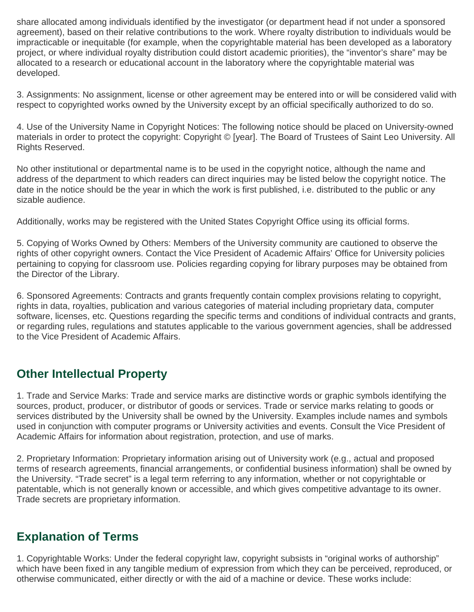share allocated among individuals identified by the investigator (or department head if not under a sponsored agreement), based on their relative contributions to the work. Where royalty distribution to individuals would be impracticable or inequitable (for example, when the copyrightable material has been developed as a laboratory project, or where individual royalty distribution could distort academic priorities), the "inventor's share" may be allocated to a research or educational account in the laboratory where the copyrightable material was developed.

3. Assignments: No assignment, license or other agreement may be entered into or will be considered valid with respect to copyrighted works owned by the University except by an official specifically authorized to do so.

4. Use of the University Name in Copyright Notices: The following notice should be placed on University-owned materials in order to protect the copyright: Copyright © [year]. The Board of Trustees of Saint Leo University. All Rights Reserved.

No other institutional or departmental name is to be used in the copyright notice, although the name and address of the department to which readers can direct inquiries may be listed below the copyright notice. The date in the notice should be the year in which the work is first published, i.e. distributed to the public or any sizable audience.

Additionally, works may be registered with the United States Copyright Office using its official forms.

5. Copying of Works Owned by Others: Members of the University community are cautioned to observe the rights of other copyright owners. Contact the Vice President of Academic Affairs' Office for University policies pertaining to copying for classroom use. Policies regarding copying for library purposes may be obtained from the Director of the Library.

6. Sponsored Agreements: Contracts and grants frequently contain complex provisions relating to copyright, rights in data, royalties, publication and various categories of material including proprietary data, computer software, licenses, etc. Questions regarding the specific terms and conditions of individual contracts and grants, or regarding rules, regulations and statutes applicable to the various government agencies, shall be addressed to the Vice President of Academic Affairs.

### **Other Intellectual Property**

1. Trade and Service Marks: Trade and service marks are distinctive words or graphic symbols identifying the sources, product, producer, or distributor of goods or services. Trade or service marks relating to goods or services distributed by the University shall be owned by the University. Examples include names and symbols used in conjunction with computer programs or University activities and events. Consult the Vice President of Academic Affairs for information about registration, protection, and use of marks.

2. Proprietary Information: Proprietary information arising out of University work (e.g., actual and proposed terms of research agreements, financial arrangements, or confidential business information) shall be owned by the University. "Trade secret" is a legal term referring to any information, whether or not copyrightable or patentable, which is not generally known or accessible, and which gives competitive advantage to its owner. Trade secrets are proprietary information.

### **Explanation of Terms**

1. Copyrightable Works: Under the federal copyright law, copyright subsists in "original works of authorship" which have been fixed in any tangible medium of expression from which they can be perceived, reproduced, or otherwise communicated, either directly or with the aid of a machine or device. These works include: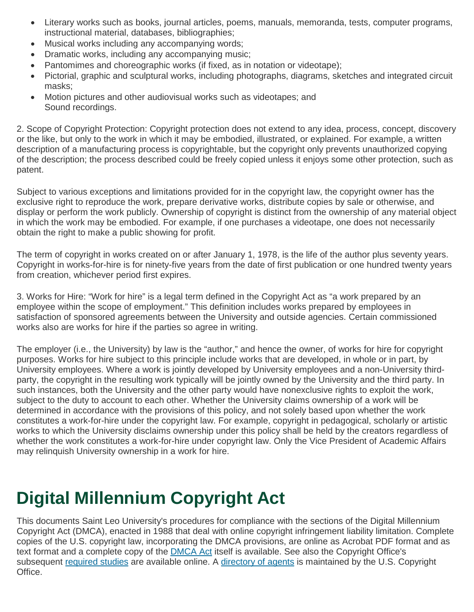- Literary works such as books, journal articles, poems, manuals, memoranda, tests, computer programs, instructional material, databases, bibliographies;
- Musical works including any accompanying words;
- Dramatic works, including any accompanying music;
- Pantomimes and choreographic works (if fixed, as in notation or videotape);
- Pictorial, graphic and sculptural works, including photographs, diagrams, sketches and integrated circuit masks;
- Motion pictures and other audiovisual works such as videotapes; and Sound recordings.

2. Scope of Copyright Protection: Copyright protection does not extend to any idea, process, concept, discovery or the like, but only to the work in which it may be embodied, illustrated, or explained. For example, a written description of a manufacturing process is copyrightable, but the copyright only prevents unauthorized copying of the description; the process described could be freely copied unless it enjoys some other protection, such as patent.

Subject to various exceptions and limitations provided for in the copyright law, the copyright owner has the exclusive right to reproduce the work, prepare derivative works, distribute copies by sale or otherwise, and display or perform the work publicly. Ownership of copyright is distinct from the ownership of any material object in which the work may be embodied. For example, if one purchases a videotape, one does not necessarily obtain the right to make a public showing for profit.

The term of copyright in works created on or after January 1, 1978, is the life of the author plus seventy years. Copyright in works-for-hire is for ninety-five years from the date of first publication or one hundred twenty years from creation, whichever period first expires.

3. Works for Hire: "Work for hire" is a legal term defined in the Copyright Act as "a work prepared by an employee within the scope of employment." This definition includes works prepared by employees in satisfaction of sponsored agreements between the University and outside agencies. Certain commissioned works also are works for hire if the parties so agree in writing.

The employer (i.e., the University) by law is the "author," and hence the owner, of works for hire for copyright purposes. Works for hire subject to this principle include works that are developed, in whole or in part, by University employees. Where a work is jointly developed by University employees and a non-University thirdparty, the copyright in the resulting work typically will be jointly owned by the University and the third party. In such instances, both the University and the other party would have nonexclusive rights to exploit the work, subject to the duty to account to each other. Whether the University claims ownership of a work will be determined in accordance with the provisions of this policy, and not solely based upon whether the work constitutes a work-for-hire under the copyright law. For example, copyright in pedagogical, scholarly or artistic works to which the University disclaims ownership under this policy shall be held by the creators regardless of whether the work constitutes a work-for-hire under copyright law. Only the Vice President of Academic Affairs may relinquish University ownership in a work for hire.

# **Digital Millennium Copyright Act**

This documents Saint Leo University's procedures for compliance with the sections of the Digital Millennium Copyright Act (DMCA), enacted in 1988 that deal with online copyright infringement liability limitation. Complete copies of the U.S. copyright law, incorporating the DMCA provisions, are online as Acrobat PDF format and as text format and a complete copy of the [DMCA](http://www.copyright.gov/legislation/hr2281.pdf) Act itself is available. See also the Copyright Office's subsequent [required](http://www.copyright.gov/reports/studies/dmca/dmca_study.html) studies are available online. A [directory](http://www.copyright.gov/onlinesp/) of agents is maintained by the U.S. Copyright Office.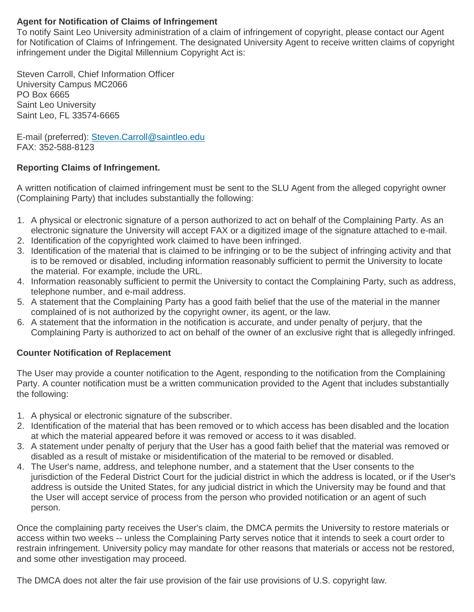#### **Agent for Notification of Claims of Infringement**

To notify Saint Leo University administration of a claim of infringement of copyright, please contact our Agent for Notification of Claims of Infringement. The designated University Agent to receive written claims of copyright infringement under the Digital Millennium Copyright Act is:

Steven Carroll, Chief Information Officer University Campus MC2066 PO Box 6665 Saint Leo University Saint Leo, FL 33574-6665

E-mail (preferred): [Steven.Carroll@saintleo.edu](mailto:steven.carroll@saintleo.edu) FAX: 352-588-8123

#### **Reporting Claims of Infringement.**

A written notification of claimed infringement must be sent to the SLU Agent from the alleged copyright owner (Complaining Party) that includes substantially the following:

- 1. A physical or electronic signature of a person authorized to act on behalf of the Complaining Party. As an electronic signature the University will accept FAX or a digitized image of the signature attached to e-mail.
- 2. Identification of the copyrighted work claimed to have been infringed.
- 3. Identification of the material that is claimed to be infringing or to be the subject of infringing activity and that is to be removed or disabled, including information reasonably sufficient to permit the University to locate the material. For example, include the URL.
- 4. Information reasonably sufficient to permit the University to contact the Complaining Party, such as address, telephone number, and e-mail address.
- 5. A statement that the Complaining Party has a good faith belief that the use of the material in the manner complained of is not authorized by the copyright owner, its agent, or the law.
- 6. A statement that the information in the notification is accurate, and under penalty of perjury, that the Complaining Party is authorized to act on behalf of the owner of an exclusive right that is allegedly infringed.

#### **Counter Notification of Replacement**

The User may provide a counter notification to the Agent, responding to the notification from the Complaining Party. A counter notification must be a written communication provided to the Agent that includes substantially the following:

- 1. A physical or electronic signature of the subscriber.
- 2. Identification of the material that has been removed or to which access has been disabled and the location at which the material appeared before it was removed or access to it was disabled.
- 3. A statement under penalty of perjury that the User has a good faith belief that the material was removed or disabled as a result of mistake or misidentification of the material to be removed or disabled.
- 4. The User's name, address, and telephone number, and a statement that the User consents to the jurisdiction of the Federal District Court for the judicial district in which the address is located, or if the User's address is outside the United States, for any judicial district in which the University may be found and that the User will accept service of process from the person who provided notification or an agent of such person.

Once the complaining party receives the User's claim, the DMCA permits the University to restore materials or access within two weeks -- unless the Complaining Party serves notice that it intends to seek a court order to restrain infringement. University policy may mandate for other reasons that materials or access not be restored, and some other investigation may proceed.

The DMCA does not alter the fair use provision of the fair use provisions of U.S. copyright law.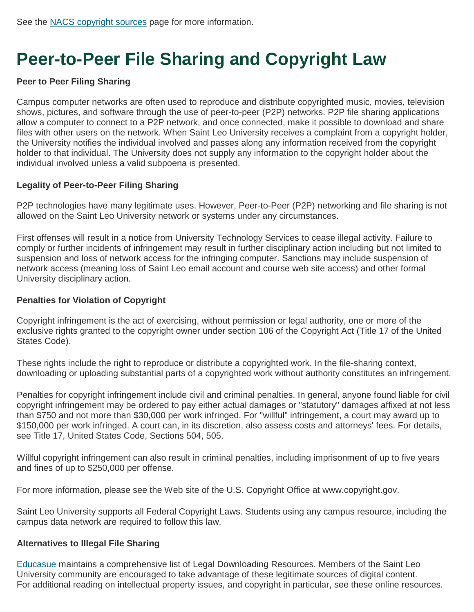## **Peer-to-Peer File Sharing and Copyright Law**

#### **Peer to Peer Filing Sharing**

Campus computer networks are often used to reproduce and distribute copyrighted music, movies, television shows, pictures, and software through the use of peer-to-peer (P2P) networks. P2P file sharing applications allow a computer to connect to a P2P network, and once connected, make it possible to download and share files with other users on the network. When Saint Leo University receives a complaint from a copyright holder, the University notifies the individual involved and passes along any information received from the copyright holder to that individual. The University does not supply any information to the copyright holder about the individual involved unless a valid subpoena is presented.

#### **Legality of Peer-to-Peer Filing Sharing**

P2P technologies have many legitimate uses. However, Peer-to-Peer (P2P) networking and file sharing is not allowed on the Saint Leo University network or systems under any circumstances.

First offenses will result in a notice from University Technology Services to cease illegal activity. Failure to comply or further incidents of infringement may result in further disciplinary action including but not limited to suspension and loss of network access for the infringing computer. Sanctions may include suspension of network access (meaning loss of Saint Leo email account and course web site access) and other formal University disciplinary action.

#### **Penalties for Violation of Copyright**

Copyright infringement is the act of exercising, without permission or legal authority, one or more of the exclusive rights granted to the copyright owner under section 106 of the Copyright Act (Title 17 of the United States Code).

These rights include the right to reproduce or distribute a copyrighted work. In the file-sharing context, downloading or uploading substantial parts of a copyrighted work without authority constitutes an infringement.

Penalties for copyright infringement include civil and criminal penalties. In general, anyone found liable for civil copyright infringement may be ordered to pay either actual damages or "statutory" damages affixed at not less than \$750 and not more than \$30,000 per work infringed. For "willful" infringement, a court may award up to \$150,000 per work infringed. A court can, in its discretion, also assess costs and attorneys' fees. For details, see Title 17, United States Code, Sections 504, 505.

Willful copyright infringement can also result in criminal penalties, including imprisonment of up to five years and fines of up to \$250,000 per offense.

For more information, please see the Web site of the U.S. Copyright Office at www.copyright.gov.

Saint Leo University supports all Federal Copyright Laws. Students using any campus resource, including the campus data network are required to follow this law.

#### **Alternatives to Illegal File Sharing**

[Educasue](http://www.educause.edu/focus-areas-and-initiatives/policy-and-security/educause-policy/issues-and-positions/intellectual-property/legal-sources-onli) maintains a comprehensive list of Legal Downloading Resources. Members of the Saint Leo University community are encouraged to take advantage of these legitimate sources of digital content. For additional reading on intellectual property issues, and copyright in particular, see these online resources.